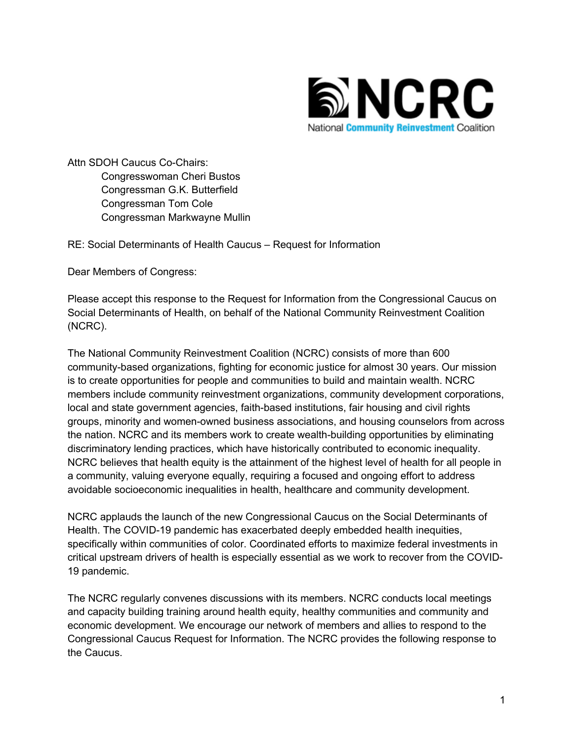

Attn SDOH Caucus Co-Chairs: Congresswoman Cheri Bustos Congressman G.K. Butterfield Congressman Tom Cole Congressman Markwayne Mullin

RE: Social Determinants of Health Caucus – Request for Information

Dear Members of Congress:

Please accept this response to the Request for Information from the Congressional Caucus on Social Determinants of Health, on behalf of the National Community Reinvestment Coalition (NCRC).

The National Community Reinvestment Coalition (NCRC) consists of more than 600 community-based organizations, fighting for economic justice for almost 30 years. Our mission is to create opportunities for people and communities to build and maintain wealth. NCRC members include community reinvestment organizations, community development corporations, local and state government agencies, faith-based institutions, fair housing and civil rights groups, minority and women-owned business associations, and housing counselors from across the nation. NCRC and its members work to create wealth-building opportunities by eliminating discriminatory lending practices, which have historically contributed to economic inequality. NCRC believes that health equity is the attainment of the highest level of health for all people in a community, valuing everyone equally, requiring a focused and ongoing effort to address avoidable socioeconomic inequalities in health, healthcare and community development.

NCRC applauds the launch of the new Congressional Caucus on the Social Determinants of Health. The COVID-19 pandemic has exacerbated deeply embedded health inequities, specifically within communities of color. Coordinated efforts to maximize federal investments in critical upstream drivers of health is especially essential as we work to recover from the COVID-19 pandemic.

The NCRC regularly convenes discussions with its members. NCRC conducts local meetings and capacity building training around health equity, healthy communities and community and economic development. We encourage our network of members and allies to respond to the Congressional Caucus Request for Information. The NCRC provides the following response to the Caucus.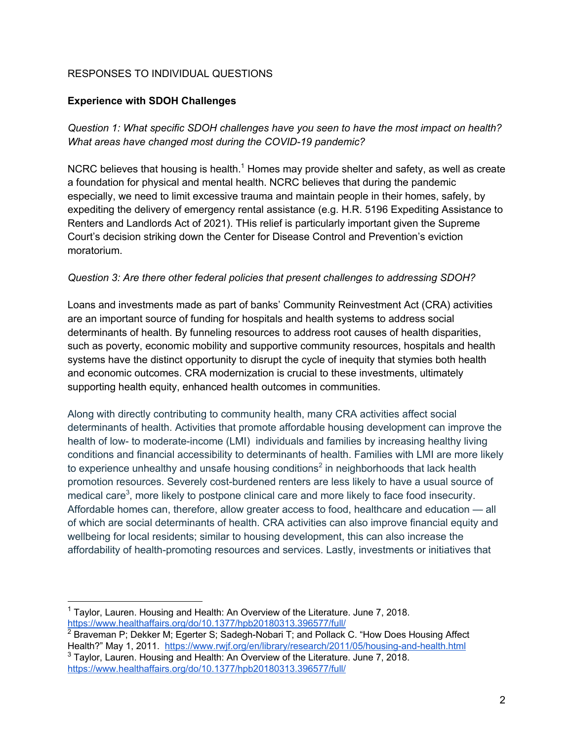## RESPONSES TO INDIVIDUAL QUESTIONS

### **Experience with SDOH Challenges**

*Question 1: What specific SDOH challenges have you seen to have the most impact on health? What areas have changed most during the COVID-19 pandemic?*

NCRC believes that housing is health.<sup>1</sup> Homes may provide shelter and safety, as well as create a foundation for physical and mental health. NCRC believes that during the pandemic especially, we need to limit excessive trauma and maintain people in their homes, safely, by expediting the delivery of emergency rental assistance (e.g. H.R. 5196 Expediting Assistance to Renters and Landlords Act of 2021). THis relief is particularly important given the Supreme Court's decision striking down the Center for Disease Control and Prevention's eviction moratorium.

### *Question 3: Are there other federal policies that present challenges to addressing SDOH?*

Loans and investments made as part of banks' Community Reinvestment Act (CRA) activities are an important source of funding for hospitals and health systems to address social determinants of health. By funneling resources to address root causes of health disparities, such as poverty, economic mobility and supportive community resources, hospitals and health systems have the distinct opportunity to disrupt the cycle of inequity that stymies both health and economic outcomes. CRA modernization is crucial to these investments, ultimately supporting health equity, enhanced health outcomes in communities.

Along with directly contributing to community health, many CRA activities affect social determinants of health. Activities that promote affordable housing development can improve the health of low- to moderate-income (LMI) individuals and families by increasing healthy living conditions and financial accessibility to determinants of health. Families with LMI are more likely to experience unhealthy and unsafe housing conditions<sup>2</sup> in neighborhoods that lack health promotion resources. Severely cost-burdened renters are less likely to have a usual source of medical care<sup>3</sup>, more likely to postpone clinical care and more likely to face food insecurity. Affordable homes can, therefore, allow greater access to food, healthcare and education — all of which are social determinants of health. CRA activities can also improve financial equity and wellbeing for local residents; similar to housing development, this can also increase the affordability of health-promoting resources and services. Lastly, investments or initiatives that

<sup>&</sup>lt;sup>1</sup> Taylor, Lauren. Housing and Health: An Overview of the Literature. June 7, 2018. https://www.healthaffairs.org/do/10.1377/hpb20180313.396577/full/

 $2\overline{B}$  Braveman P; Dekker M; Egerter S; Sadegh-Nobari T; and Pollack C. "How Does Housing Affect Health?" May 1, 2011. https://www.rwjf.org/en/library/research/2011/05/housing-and-health.html

<sup>&</sup>lt;sup>3</sup> Tavlor, Lauren. Housing and Health: An Overview of the Literature. June 7, 2018. https://www.healthaffairs.org/do/10.1377/hpb20180313.396577/full/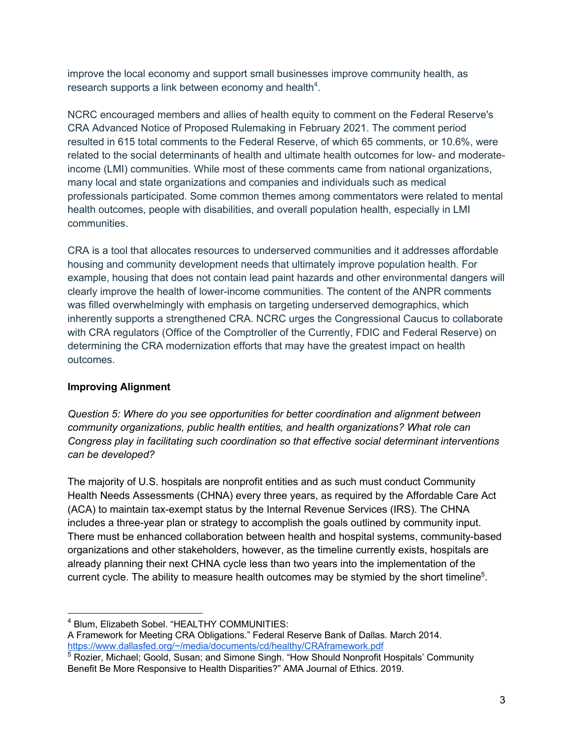improve the local economy and support small businesses improve community health, as research supports a link between economy and health<sup>4</sup>.

NCRC encouraged members and allies of health equity to comment on the Federal Reserve's CRA Advanced Notice of Proposed Rulemaking in February 2021. The comment period resulted in 615 total comments to the Federal Reserve, of which 65 comments, or 10.6%, were related to the social determinants of health and ultimate health outcomes for low- and moderateincome (LMI) communities. While most of these comments came from national organizations, many local and state organizations and companies and individuals such as medical professionals participated. Some common themes among commentators were related to mental health outcomes, people with disabilities, and overall population health, especially in LMI communities.

CRA is a tool that allocates resources to underserved communities and it addresses affordable housing and community development needs that ultimately improve population health. For example, housing that does not contain lead paint hazards and other environmental dangers will clearly improve the health of lower-income communities. The content of the ANPR comments was filled overwhelmingly with emphasis on targeting underserved demographics, which inherently supports a strengthened CRA. NCRC urges the Congressional Caucus to collaborate with CRA regulators (Office of the Comptroller of the Currently, FDIC and Federal Reserve) on determining the CRA modernization efforts that may have the greatest impact on health outcomes.

## **Improving Alignment**

*Question 5: Where do you see opportunities for better coordination and alignment between community organizations, public health entities, and health organizations? What role can Congress play in facilitating such coordination so that effective social determinant interventions can be developed?*

The majority of U.S. hospitals are nonprofit entities and as such must conduct Community Health Needs Assessments (CHNA) every three years, as required by the Affordable Care Act (ACA) to maintain tax-exempt status by the Internal Revenue Services (IRS). The CHNA includes a three-year plan or strategy to accomplish the goals outlined by community input. There must be enhanced collaboration between health and hospital systems, community-based organizations and other stakeholders, however, as the timeline currently exists, hospitals are already planning their next CHNA cycle less than two years into the implementation of the current cycle. The ability to measure health outcomes may be stymied by the short timeline<sup>5</sup>.

<sup>4</sup> Blum, Elizabeth Sobel. "HEALTHY COMMUNITIES:

A Framework for Meeting CRA Obligations." Federal Reserve Bank of Dallas. March 2014. https://www.dallasfed.org/~/media/documents/cd/healthy/CRAframework.pdf

<sup>&</sup>lt;sup>5</sup> Rozier, Michael; Goold, Susan; and Simone Singh. "How Should Nonprofit Hospitals' Community Benefit Be More Responsive to Health Disparities?" AMA Journal of Ethics. 2019.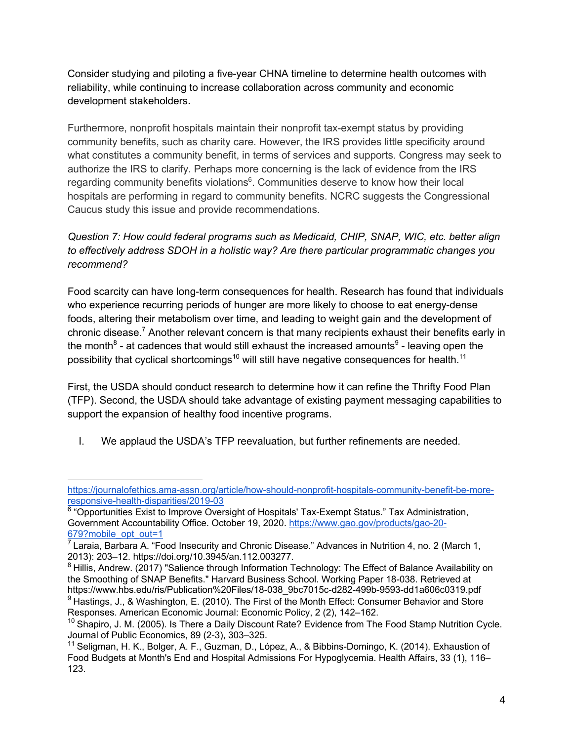Consider studying and piloting a five-year CHNA timeline to determine health outcomes with reliability, while continuing to increase collaboration across community and economic development stakeholders.

Furthermore, nonprofit hospitals maintain their nonprofit tax-exempt status by providing community benefits, such as charity care. However, the IRS provides little specificity around what constitutes a community benefit, in terms of services and supports. Congress may seek to authorize the IRS to clarify. Perhaps more concerning is the lack of evidence from the IRS regarding community benefits violations<sup>6</sup>. Communities deserve to know how their local hospitals are performing in regard to community benefits. NCRC suggests the Congressional Caucus study this issue and provide recommendations.

# *Question 7: How could federal programs such as Medicaid, CHIP, SNAP, WIC, etc. better align to effectively address SDOH in a holistic way? Are there particular programmatic changes you recommend?*

Food scarcity can have long-term consequences for health. Research has found that individuals who experience recurring periods of hunger are more likely to choose to eat energy-dense foods, altering their metabolism over time, and leading to weight gain and the development of chronic disease.<sup>7</sup> Another relevant concern is that many recipients exhaust their benefits early in the month<sup>8</sup> - at cadences that would still exhaust the increased amounts<sup>9</sup> - leaving open the possibility that cyclical shortcomings<sup>10</sup> will still have negative consequences for health.<sup>11</sup>

First, the USDA should conduct research to determine how it can refine the Thrifty Food Plan (TFP). Second, the USDA should take advantage of existing payment messaging capabilities to support the expansion of healthy food incentive programs.

I. We applaud the USDA's TFP reevaluation, but further refinements are needed.

https://journalofethics.ama-assn.org/article/how-should-nonprofit-hospitals-community-benefit-be-moreresponsive-health-disparities/2019-03

<sup>&</sup>lt;sup>6</sup> "Opportunities Exist to Improve Oversight of Hospitals' Tax-Exempt Status." Tax Administration, Government Accountability Office. October 19, 2020. https://www.gao.gov/products/gao-20- 679?mobile\_opt\_out=1

 $^7$  Laraia, Barbara A. "Food Insecurity and Chronic Disease." Advances in Nutrition 4, no. 2 (March 1, 2013): 203–12. https://doi.org/10.3945/an.112.003277.

<sup>&</sup>lt;sup>8</sup> Hillis, Andrew. (2017) "Salience through Information Technology: The Effect of Balance Availability on the Smoothing of SNAP Benefits." Harvard Business School. Working Paper 18-038. Retrieved at https://www.hbs.edu/ris/Publication%20Files/18-038\_9bc7015c-d282-499b-9593-dd1a606c0319.pdf  $9$  Hastings, J., & Washington, E. (2010). The First of the Month Effect: Consumer Behavior and Store Responses. American Economic Journal: Economic Policy, 2 (2), 142–162.

 $10$  Shapiro, J. M. (2005). Is There a Daily Discount Rate? Evidence from The Food Stamp Nutrition Cycle. Journal of Public Economics, 89 (2-3), 303–325.

<sup>&</sup>lt;sup>11</sup> Seligman, H. K., Bolger, A. F., Guzman, D., López, A., & Bibbins-Domingo, K. (2014). Exhaustion of Food Budgets at Month's End and Hospital Admissions For Hypoglycemia. Health Affairs, 33 (1), 116– 123.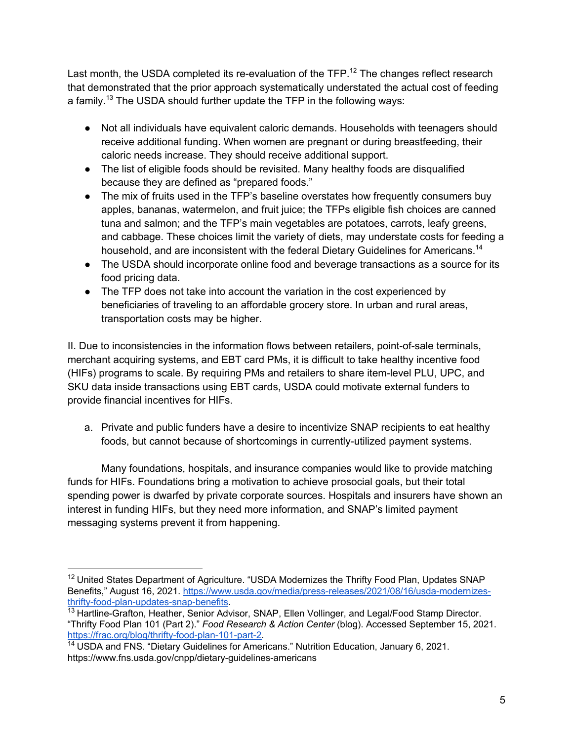Last month, the USDA completed its re-evaluation of the TFP.<sup>12</sup> The changes reflect research that demonstrated that the prior approach systematically understated the actual cost of feeding a family.<sup>13</sup> The USDA should further update the TFP in the following ways:

- Not all individuals have equivalent caloric demands. Households with teenagers should receive additional funding. When women are pregnant or during breastfeeding, their caloric needs increase. They should receive additional support.
- The list of eligible foods should be revisited. Many healthy foods are disqualified because they are defined as "prepared foods."
- The mix of fruits used in the TFP's baseline overstates how frequently consumers buy apples, bananas, watermelon, and fruit juice; the TFPs eligible fish choices are canned tuna and salmon; and the TFP's main vegetables are potatoes, carrots, leafy greens, and cabbage. These choices limit the variety of diets, may understate costs for feeding a household, and are inconsistent with the federal Dietary Guidelines for Americans.<sup>14</sup>
- The USDA should incorporate online food and beverage transactions as a source for its food pricing data.
- The TFP does not take into account the variation in the cost experienced by beneficiaries of traveling to an affordable grocery store. In urban and rural areas, transportation costs may be higher.

II. Due to inconsistencies in the information flows between retailers, point-of-sale terminals, merchant acquiring systems, and EBT card PMs, it is difficult to take healthy incentive food (HIFs) programs to scale. By requiring PMs and retailers to share item-level PLU, UPC, and SKU data inside transactions using EBT cards, USDA could motivate external funders to provide financial incentives for HIFs.

a. Private and public funders have a desire to incentivize SNAP recipients to eat healthy foods, but cannot because of shortcomings in currently-utilized payment systems.

Many foundations, hospitals, and insurance companies would like to provide matching funds for HIFs. Foundations bring a motivation to achieve prosocial goals, but their total spending power is dwarfed by private corporate sources. Hospitals and insurers have shown an interest in funding HIFs, but they need more information, and SNAP's limited payment messaging systems prevent it from happening.

<sup>&</sup>lt;sup>12</sup> United States Department of Agriculture. "USDA Modernizes the Thrifty Food Plan, Updates SNAP Benefits," August 16, 2021. https://www.usda.gov/media/press-releases/2021/08/16/usda-modernizesthrifty-food-plan-updates-snap-benefits.

<sup>&</sup>lt;sup>13</sup> Hartline-Grafton, Heather, Senior Advisor, SNAP, Ellen Vollinger, and Legal/Food Stamp Director. "Thrifty Food Plan 101 (Part 2)." *Food Research & Action Center* (blog). Accessed September 15, 2021. https://frac.org/blog/thrifty-food-plan-101-part-2.

<sup>&</sup>lt;sup>14</sup> USDA and FNS. "Dietary Guidelines for Americans." Nutrition Education, January 6, 2021. https://www.fns.usda.gov/cnpp/dietary-guidelines-americans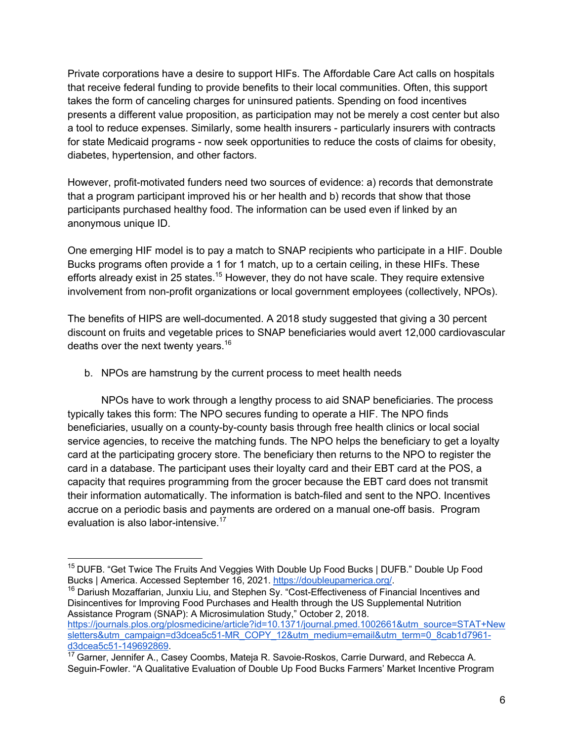Private corporations have a desire to support HIFs. The Affordable Care Act calls on hospitals that receive federal funding to provide benefits to their local communities. Often, this support takes the form of canceling charges for uninsured patients. Spending on food incentives presents a different value proposition, as participation may not be merely a cost center but also a tool to reduce expenses. Similarly, some health insurers - particularly insurers with contracts for state Medicaid programs - now seek opportunities to reduce the costs of claims for obesity, diabetes, hypertension, and other factors.

However, profit-motivated funders need two sources of evidence: a) records that demonstrate that a program participant improved his or her health and b) records that show that those participants purchased healthy food. The information can be used even if linked by an anonymous unique ID.

One emerging HIF model is to pay a match to SNAP recipients who participate in a HIF. Double Bucks programs often provide a 1 for 1 match, up to a certain ceiling, in these HIFs. These efforts already exist in 25 states.<sup>15</sup> However, they do not have scale. They require extensive involvement from non-profit organizations or local government employees (collectively, NPOs).

The benefits of HIPS are well-documented. A 2018 study suggested that giving a 30 percent discount on fruits and vegetable prices to SNAP beneficiaries would avert 12,000 cardiovascular deaths over the next twenty years.<sup>16</sup>

b. NPOs are hamstrung by the current process to meet health needs

NPOs have to work through a lengthy process to aid SNAP beneficiaries. The process typically takes this form: The NPO secures funding to operate a HIF. The NPO finds beneficiaries, usually on a county-by-county basis through free health clinics or local social service agencies, to receive the matching funds. The NPO helps the beneficiary to get a loyalty card at the participating grocery store. The beneficiary then returns to the NPO to register the card in a database. The participant uses their loyalty card and their EBT card at the POS, a capacity that requires programming from the grocer because the EBT card does not transmit their information automatically. The information is batch-filed and sent to the NPO. Incentives accrue on a periodic basis and payments are ordered on a manual one-off basis. Program evaluation is also labor-intensive.<sup>17</sup>

<sup>16</sup> Dariush Mozaffarian, Junxiu Liu, and Stephen Sy. "Cost-Effectiveness of Financial Incentives and Disincentives for Improving Food Purchases and Health through the US Supplemental Nutrition Assistance Program (SNAP): A Microsimulation Study," October 2, 2018. https://journals.plos.org/plosmedicine/article?id=10.1371/journal.pmed.1002661&utm\_source=STAT+New sletters&utm\_campaign=d3dcea5c51-MR\_COPY\_12&utm\_medium=email&utm\_term=0\_8cab1d7961d3dcea5c51-149692869.

<sup>&</sup>lt;sup>15</sup> DUFB. "Get Twice The Fruits And Veggies With Double Up Food Bucks | DUFB." Double Up Food Bucks | America. Accessed September 16, 2021. https://doubleupamerica.org/.

<sup>&</sup>lt;sup>17</sup> Garner, Jennifer A., Casey Coombs, Mateja R. Savoie-Roskos, Carrie Durward, and Rebecca A. Seguin-Fowler. "A Qualitative Evaluation of Double Up Food Bucks Farmers' Market Incentive Program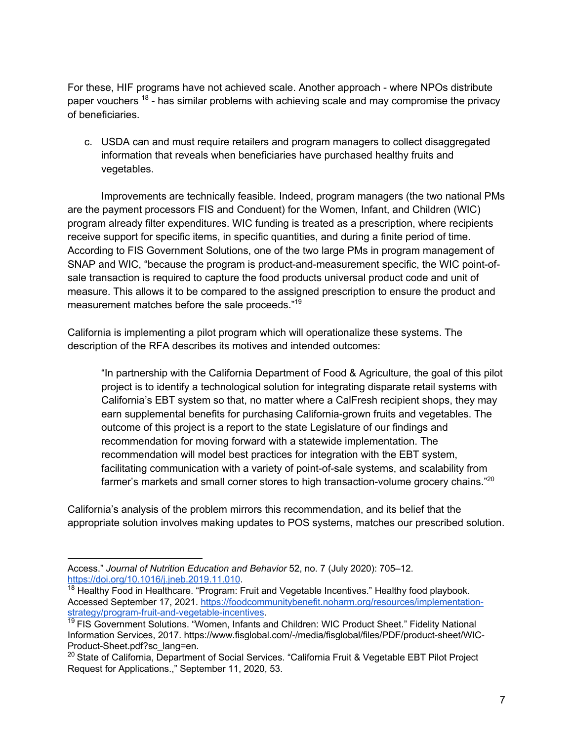For these, HIF programs have not achieved scale. Another approach - where NPOs distribute paper vouchers  $18$  - has similar problems with achieving scale and may compromise the privacy of beneficiaries.

c. USDA can and must require retailers and program managers to collect disaggregated information that reveals when beneficiaries have purchased healthy fruits and vegetables.

Improvements are technically feasible. Indeed, program managers (the two national PMs are the payment processors FIS and Conduent) for the Women, Infant, and Children (WIC) program already filter expenditures. WIC funding is treated as a prescription, where recipients receive support for specific items, in specific quantities, and during a finite period of time. According to FIS Government Solutions, one of the two large PMs in program management of SNAP and WIC, "because the program is product-and-measurement specific, the WIC point-ofsale transaction is required to capture the food products universal product code and unit of measure. This allows it to be compared to the assigned prescription to ensure the product and measurement matches before the sale proceeds."19

California is implementing a pilot program which will operationalize these systems. The description of the RFA describes its motives and intended outcomes:

"In partnership with the California Department of Food & Agriculture, the goal of this pilot project is to identify a technological solution for integrating disparate retail systems with California's EBT system so that, no matter where a CalFresh recipient shops, they may earn supplemental benefits for purchasing California-grown fruits and vegetables. The outcome of this project is a report to the state Legislature of our findings and recommendation for moving forward with a statewide implementation. The recommendation will model best practices for integration with the EBT system, facilitating communication with a variety of point-of-sale systems, and scalability from farmer's markets and small corner stores to high transaction-volume grocery chains."<sup>20</sup>

California's analysis of the problem mirrors this recommendation, and its belief that the appropriate solution involves making updates to POS systems, matches our prescribed solution.

Access." *Journal of Nutrition Education and Behavior* 52, no. 7 (July 2020): 705–12. https://doi.org/10.1016/j.jneb.2019.11.010.

<sup>&</sup>lt;sup>18</sup> Healthy Food in Healthcare. "Program: Fruit and Vegetable Incentives." Healthy food playbook. Accessed September 17, 2021. https://foodcommunitybenefit.noharm.org/resources/implementationstrategy/program-fruit-and-vegetable-incentives.

<sup>&</sup>lt;sup>19</sup> FIS Government Solutions. "Women, Infants and Children: WIC Product Sheet." Fidelity National Information Services, 2017. https://www.fisglobal.com/-/media/fisglobal/files/PDF/product-sheet/WIC-Product-Sheet.pdf?sc\_lang=en.

<sup>&</sup>lt;sup>20</sup> State of California, Department of Social Services. "California Fruit & Vegetable EBT Pilot Project Request for Applications.," September 11, 2020, 53.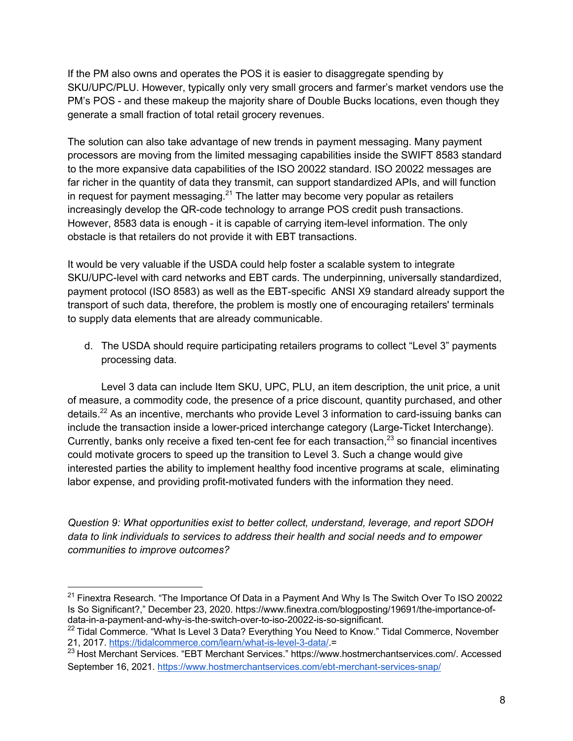If the PM also owns and operates the POS it is easier to disaggregate spending by SKU/UPC/PLU. However, typically only very small grocers and farmer's market vendors use the PM's POS - and these makeup the majority share of Double Bucks locations, even though they generate a small fraction of total retail grocery revenues.

The solution can also take advantage of new trends in payment messaging. Many payment processors are moving from the limited messaging capabilities inside the SWIFT 8583 standard to the more expansive data capabilities of the ISO 20022 standard. ISO 20022 messages are far richer in the quantity of data they transmit, can support standardized APIs, and will function in request for payment messaging.<sup>21</sup> The latter may become very popular as retailers increasingly develop the QR-code technology to arrange POS credit push transactions. However, 8583 data is enough - it is capable of carrying item-level information. The only obstacle is that retailers do not provide it with EBT transactions.

It would be very valuable if the USDA could help foster a scalable system to integrate SKU/UPC-level with card networks and EBT cards. The underpinning, universally standardized, payment protocol (ISO 8583) as well as the EBT-specific ANSI X9 standard already support the transport of such data, therefore, the problem is mostly one of encouraging retailers' terminals to supply data elements that are already communicable.

d. The USDA should require participating retailers programs to collect "Level 3" payments processing data.

Level 3 data can include Item SKU, UPC, PLU, an item description, the unit price, a unit of measure, a commodity code, the presence of a price discount, quantity purchased, and other details.<sup>22</sup> As an incentive, merchants who provide Level 3 information to card-issuing banks can include the transaction inside a lower-priced interchange category (Large-Ticket Interchange). Currently, banks only receive a fixed ten-cent fee for each transaction,  $23$  so financial incentives could motivate grocers to speed up the transition to Level 3. Such a change would give interested parties the ability to implement healthy food incentive programs at scale, eliminating labor expense, and providing profit-motivated funders with the information they need.

*Question 9: What opportunities exist to better collect, understand, leverage, and report SDOH data to link individuals to services to address their health and social needs and to empower communities to improve outcomes?*

 $21$  Finextra Research. "The Importance Of Data in a Payment And Why Is The Switch Over To ISO 20022 Is So Significant?," December 23, 2020. https://www.finextra.com/blogposting/19691/the-importance-ofdata-in-a-payment-and-why-is-the-switch-over-to-iso-20022-is-so-significant.

<sup>&</sup>lt;sup>22</sup> Tidal Commerce. "What Is Level 3 Data? Everything You Need to Know." Tidal Commerce, November 21, 2017. https://tidalcommerce.com/learn/what-is-level-3-data/.=

<sup>&</sup>lt;sup>23</sup> Host Merchant Services. "EBT Merchant Services." https://www.hostmerchantservices.com/. Accessed September 16, 2021. https://www.hostmerchantservices.com/ebt-merchant-services-snap/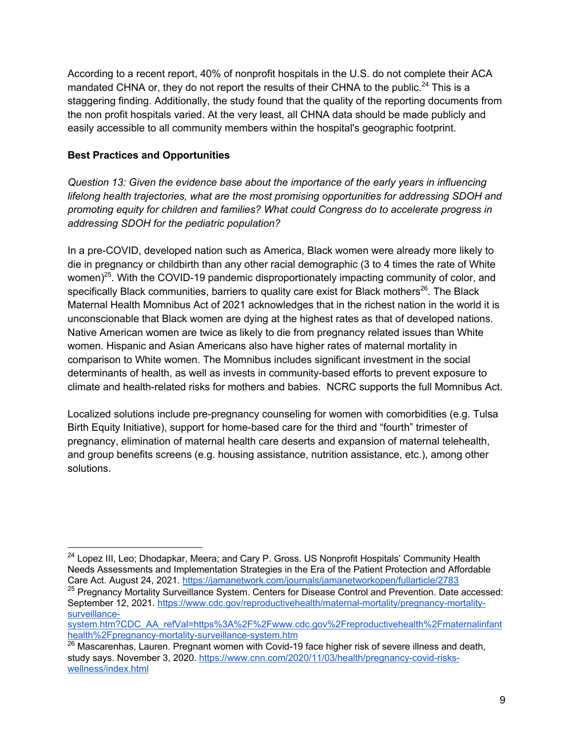According to a recent report, 40% of nonprofit hospitals in the U.S. do not complete their ACA mandated CHNA or, they do not report the results of their CHNA to the public.<sup>24</sup> This is a staggering finding. Additionally, the study found that the quality of the reporting documents from the non profit hospitals varied. At the very least, all CHNA data should be made publicly and easily accessible to all community members within the hospital's geographic footprint.

## **Best Practices and Opportunities**

*Question 13: Given the evidence base about the importance of the early years in influencing lifelong health trajectories, what are the most promising opportunities for addressing SDOH and promoting equity for children and families? What could Congress do to accelerate progress in addressing SDOH for the pediatric population?*

In a pre-COVID, developed nation such as America, Black women were already more likely to die in pregnancy or childbirth than any other racial demographic (3 to 4 times the rate of White women)<sup>25</sup>. With the COVID-19 pandemic disproportionately impacting community of color, and specifically Black communities, barriers to quality care exist for Black mothers<sup>26</sup>. The Black Maternal Health Momnibus Act of 2021 acknowledges that in the richest nation in the world it is unconscionable that Black women are dying at the highest rates as that of developed nations. Native American women are twice as likely to die from pregnancy related issues than White women. Hispanic and Asian Americans also have higher rates of maternal mortality in comparison to White women. The Momnibus includes significant investment in the social determinants of health, as well as invests in community-based efforts to prevent exposure to climate and health-related risks for mothers and babies. NCRC supports the full Momnibus Act.

Localized solutions include pre-pregnancy counseling for women with comorbidities (e.g. Tulsa Birth Equity Initiative), support for home-based care for the third and "fourth" trimester of pregnancy, elimination of maternal health care deserts and expansion of maternal telehealth, and group benefits screens (e.g. housing assistance, nutrition assistance, etc.), among other solutions.

<sup>&</sup>lt;sup>24</sup> Lopez III, Leo; Dhodapkar, Meera; and Cary P. Gross. US Nonprofit Hospitals' Community Health Needs Assessments and Implementation Strategies in the Era of the Patient Protection and Affordable Care Act. August 24, 2021. https://jamanetwork.com/journals/jamanetworkopen/fullarticle/2783

<sup>&</sup>lt;sup>25</sup> Pregnancy Mortality Surveillance System. Centers for Disease Control and Prevention. Date accessed: September 12, 2021. https://www.cdc.gov/reproductivehealth/maternal-mortality/pregnancy-mortalitysurveillance-

system.htm?CDC\_AA\_refVal=https%3A%2F%2Fwww.cdc.gov%2Freproductivehealth%2Fmaternalinfant health%2Fpregnancy-mortality-surveillance-system.htm

<sup>&</sup>lt;sup>26</sup> Mascarenhas, Lauren. Pregnant women with Covid-19 face higher risk of severe illness and death, study says. November 3, 2020. https://www.cnn.com/2020/11/03/health/pregnancy-covid-riskswellness/index.html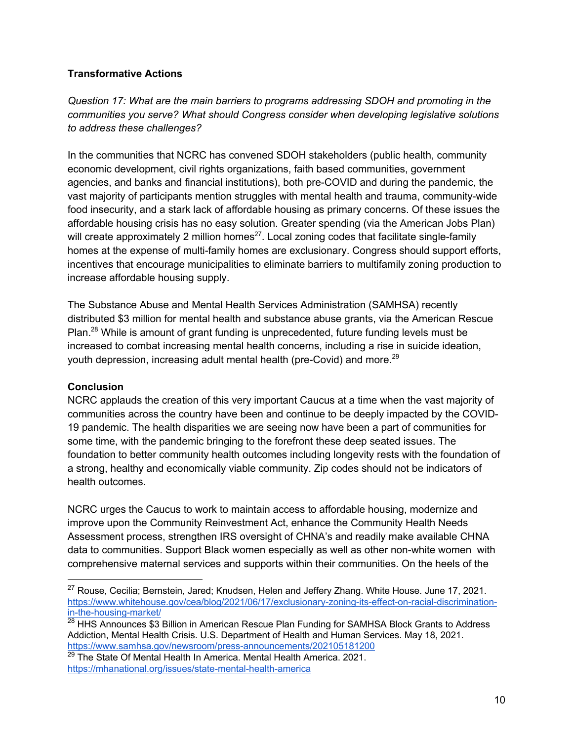## **Transformative Actions**

*Question 17: What are the main barriers to programs addressing SDOH and promoting in the communities you serve? What should Congress consider when developing legislative solutions to address these challenges?*

In the communities that NCRC has convened SDOH stakeholders (public health, community economic development, civil rights organizations, faith based communities, government agencies, and banks and financial institutions), both pre-COVID and during the pandemic, the vast majority of participants mention struggles with mental health and trauma, community-wide food insecurity, and a stark lack of affordable housing as primary concerns. Of these issues the affordable housing crisis has no easy solution. Greater spending (via the American Jobs Plan) will create approximately 2 million homes<sup>27</sup>. Local zoning codes that facilitate single-family homes at the expense of multi-family homes are exclusionary. Congress should support efforts, incentives that encourage municipalities to eliminate barriers to multifamily zoning production to increase affordable housing supply.

The Substance Abuse and Mental Health Services Administration (SAMHSA) recently distributed \$3 million for mental health and substance abuse grants, via the American Rescue Plan.28 While is amount of grant funding is unprecedented, future funding levels must be increased to combat increasing mental health concerns, including a rise in suicide ideation, youth depression, increasing adult mental health (pre-Covid) and more.<sup>29</sup>

### **Conclusion**

NCRC applauds the creation of this very important Caucus at a time when the vast majority of communities across the country have been and continue to be deeply impacted by the COVID-19 pandemic. The health disparities we are seeing now have been a part of communities for some time, with the pandemic bringing to the forefront these deep seated issues. The foundation to better community health outcomes including longevity rests with the foundation of a strong, healthy and economically viable community. Zip codes should not be indicators of health outcomes.

NCRC urges the Caucus to work to maintain access to affordable housing, modernize and improve upon the Community Reinvestment Act, enhance the Community Health Needs Assessment process, strengthen IRS oversight of CHNA's and readily make available CHNA data to communities. Support Black women especially as well as other non-white women with comprehensive maternal services and supports within their communities. On the heels of the

<sup>&</sup>lt;sup>27</sup> Rouse, Cecilia; Bernstein, Jared; Knudsen, Helen and Jeffery Zhang. White House. June 17, 2021. https://www.whitehouse.gov/cea/blog/2021/06/17/exclusionary-zoning-its-effect-on-racial-discriminationin-the-housing-market/

<sup>&</sup>lt;sup>28</sup> HHS Announces \$3 Billion in American Rescue Plan Funding for SAMHSA Block Grants to Address Addiction, Mental Health Crisis. U.S. Department of Health and Human Services. May 18, 2021. https://www.samhsa.gov/newsroom/press-announcements/202105181200

 $29$  The State Of Mental Health In America. Mental Health America. 2021. https://mhanational.org/issues/state-mental-health-america